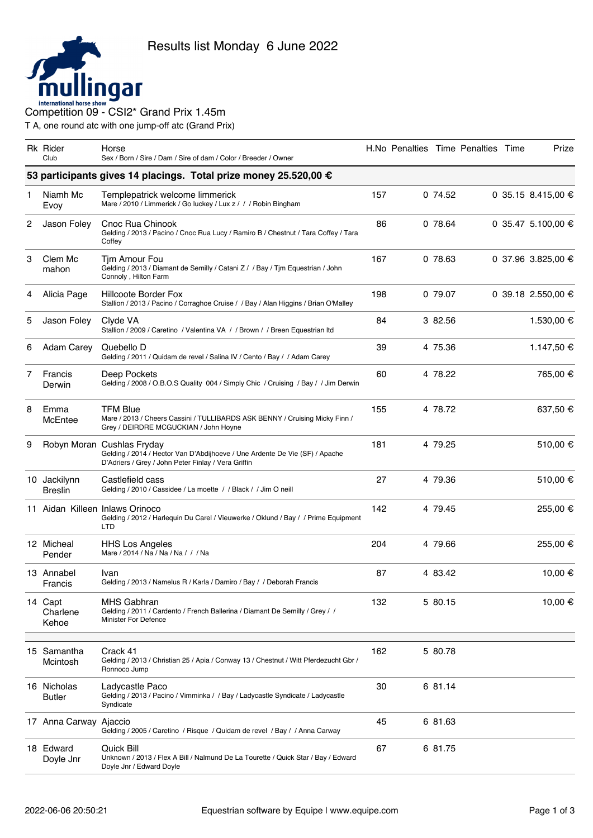

T A, one round atc with one jump-off atc (Grand Prix)

|   | <b>Rk Rider</b><br>Club        | Horse<br>Sex / Born / Sire / Dam / Sire of dam / Color / Breeder / Owner                                                                                         |     |         | H.No Penalties Time Penalties Time | Prize              |
|---|--------------------------------|------------------------------------------------------------------------------------------------------------------------------------------------------------------|-----|---------|------------------------------------|--------------------|
|   |                                | 53 participants gives 14 placings. Total prize money 25.520,00 €                                                                                                 |     |         |                                    |                    |
| 1 | Niamh Mc<br>Evoy               | Templepatrick welcome limmerick<br>Mare / 2010 / Limmerick / Go luckey / Lux z / / / Robin Bingham                                                               | 157 | 074.52  |                                    | 0 35.15 8.415,00 € |
| 2 | Jason Foley                    | Cnoc Rua Chinook<br>Gelding / 2013 / Pacino / Cnoc Rua Lucy / Ramiro B / Chestnut / Tara Coffey / Tara<br>Coffey                                                 | 86  | 0 78.64 |                                    | 0 35.47 5.100,00 € |
| 3 | Clem Mc<br>mahon               | Tim Amour Fou<br>Gelding / 2013 / Diamant de Semilly / Catani Z / / Bay / Tim Equestrian / John<br>Connoly, Hilton Farm                                          | 167 | 0 78.63 |                                    | 0 37.96 3.825,00 € |
| 4 | Alicia Page                    | Hillcoote Border Fox<br>Stallion / 2013 / Pacino / Corraghoe Cruise / / Bay / Alan Higgins / Brian O'Malley                                                      | 198 | 0 79.07 |                                    | 0 39.18 2.550,00 € |
| 5 | Jason Foley                    | Clyde VA<br>Stallion / 2009 / Caretino / Valentina VA / / Brown / / Breen Equestrian Itd                                                                         | 84  | 3 82.56 |                                    | 1.530,00 €         |
| 6 | <b>Adam Carey</b>              | Quebello D<br>Gelding / 2011 / Quidam de revel / Salina IV / Cento / Bay / / Adam Carey                                                                          | 39  | 4 75.36 |                                    | 1.147,50 €         |
| 7 | Francis<br>Derwin              | Deep Pockets<br>Gelding / 2008 / O.B.O.S Quality 004 / Simply Chic / Cruising / Bay / / Jim Derwin                                                               | 60  | 4 78.22 |                                    | 765,00 €           |
| 8 | Emma<br>McEntee                | <b>TFM Blue</b><br>Mare / 2013 / Cheers Cassini / TULLIBARDS ASK BENNY / Cruising Micky Finn /<br>Grey / DEIRDRE MCGUCKIAN / John Hoyne                          | 155 | 4 78.72 |                                    | 637,50 €           |
| 9 |                                | Robyn Moran Cushlas Fryday<br>Gelding / 2014 / Hector Van D'Abdijhoeve / Une Ardente De Vie (SF) / Apache<br>D'Adriers / Grey / John Peter Finlay / Vera Griffin | 181 | 4 79.25 |                                    | 510,00 €           |
|   | 10 Jackilynn<br><b>Breslin</b> | Castlefield cass<br>Gelding / 2010 / Cassidee / La moette / / Black / / Jim O neill                                                                              | 27  | 4 79.36 |                                    | 510,00 €           |
|   |                                | 11 Aidan Killeen Inlaws Orinoco<br>Gelding / 2012 / Harlequin Du Carel / Vieuwerke / Oklund / Bay / / Prime Equipment<br>LTD                                     | 142 | 4 79.45 |                                    | 255,00 €           |
|   | 12 Micheal<br>Pender           | <b>HHS Los Angeles</b><br>Mare / 2014 / Na / Na / Na / / / Na                                                                                                    | 204 | 4 79.66 |                                    | 255,00 €           |
|   | 13 Annabel<br>Francis          | Ivan<br>Gelding / 2013 / Namelus R / Karla / Damiro / Bay / / Deborah Francis                                                                                    | 87  | 4 83.42 |                                    | 10,00 €            |
|   | 14 Capt<br>Charlene<br>Kehoe   | <b>MHS Gabhran</b><br>Gelding / 2011 / Cardento / French Ballerina / Diamant De Semilly / Grey / /<br>Minister For Defence                                       | 132 | 5 80.15 |                                    | 10.00 €            |
|   | 15 Samantha<br>Mcintosh        | Crack 41<br>Gelding / 2013 / Christian 25 / Apia / Conway 13 / Chestnut / Witt Pferdezucht Gbr /<br>Ronnoco Jump                                                 | 162 | 5 80.78 |                                    |                    |
|   | 16 Nicholas<br><b>Butler</b>   | Ladycastle Paco<br>Gelding / 2013 / Pacino / Vimminka / / Bay / Ladycastle Syndicate / Ladycastle<br>Syndicate                                                   | 30  | 6 81.14 |                                    |                    |
|   | 17 Anna Carway Ajaccio         | Gelding / 2005 / Caretino / Risque / Quidam de revel / Bay / / Anna Carway                                                                                       | 45  | 6 81.63 |                                    |                    |
|   | 18 Edward<br>Doyle Jnr         | Quick Bill<br>Unknown / 2013 / Flex A Bill / Nalmund De La Tourette / Quick Star / Bay / Edward<br>Doyle Jnr / Edward Doyle                                      | 67  | 6 81.75 |                                    |                    |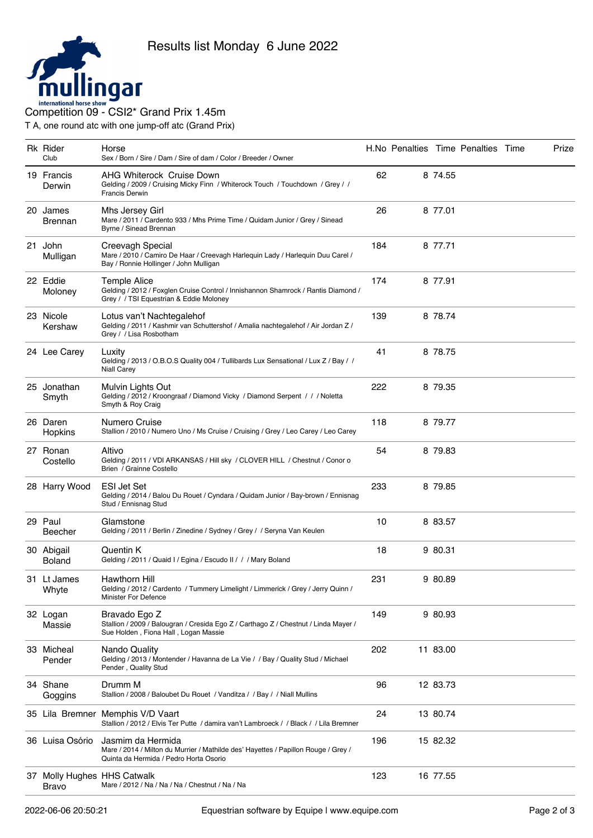

T A, one round atc with one jump-off atc (Grand Prix)

| <b>Rk Rider</b><br>Club                     | Horse<br>Sex / Born / Sire / Dam / Sire of dam / Color / Breeder / Owner                                                                          |     |          | H.No Penalties Time Penalties Time | Prize |
|---------------------------------------------|---------------------------------------------------------------------------------------------------------------------------------------------------|-----|----------|------------------------------------|-------|
| 19 Francis<br>Derwin                        | AHG Whiterock Cruise Down<br>Gelding / 2009 / Cruising Micky Finn / Whiterock Touch / Touchdown / Grey / /<br><b>Francis Derwin</b>               | 62  | 8 74.55  |                                    |       |
| 20 James<br><b>Brennan</b>                  | Mhs Jersey Girl<br>Mare / 2011 / Cardento 933 / Mhs Prime Time / Quidam Junior / Grey / Sinead<br>Byrne / Sinead Brennan                          | 26  | 8 77.01  |                                    |       |
| 21 John<br>Mulligan                         | Creevagh Special<br>Mare / 2010 / Camiro De Haar / Creevagh Harlequin Lady / Harlequin Duu Carel /<br>Bay / Ronnie Hollinger / John Mulligan      | 184 | 8 77.71  |                                    |       |
| 22 Eddie<br>Moloney                         | Temple Alice<br>Gelding / 2012 / Foxglen Cruise Control / Innishannon Shamrock / Rantis Diamond /<br>Grey / / TSI Equestrian & Eddie Moloney      | 174 | 8 77.91  |                                    |       |
| 23 Nicole<br>Kershaw                        | Lotus van't Nachtegalehof<br>Gelding / 2011 / Kashmir van Schuttershof / Amalia nachtegalehof / Air Jordan Z /<br>Grey / / Lisa Rosbotham         | 139 | 8 78.74  |                                    |       |
| 24 Lee Carey                                | Luxity<br>Gelding / 2013 / O.B.O.S Quality 004 / Tullibards Lux Sensational / Lux Z / Bay / /<br><b>Niall Carey</b>                               | 41  | 8 78.75  |                                    |       |
| 25 Jonathan<br>Smyth                        | Mulvin Lights Out<br>Gelding / 2012 / Kroongraaf / Diamond Vicky / Diamond Serpent / / / Noletta<br>Smyth & Roy Craig                             | 222 | 8 79.35  |                                    |       |
| 26 Daren<br>Hopkins                         | Numero Cruise<br>Stallion / 2010 / Numero Uno / Ms Cruise / Cruising / Grey / Leo Carey / Leo Carey                                               | 118 | 8 79.77  |                                    |       |
| 27 Ronan<br>Costello                        | Altivo<br>Gelding / 2011 / VDI ARKANSAS / Hill sky / CLOVER HILL / Chestnut / Conor o<br>Brien / Grainne Costello                                 | 54  | 8 79.83  |                                    |       |
| 28 Harry Wood                               | <b>ESI Jet Set</b><br>Gelding / 2014 / Balou Du Rouet / Cyndara / Quidam Junior / Bay-brown / Ennisnag<br>Stud / Ennisnag Stud                    | 233 | 8 79.85  |                                    |       |
| 29 Paul<br>Beecher                          | Glamstone<br>Gelding / 2011 / Berlin / Zinedine / Sydney / Grey / / Seryna Van Keulen                                                             | 10  | 8 83.57  |                                    |       |
| 30 Abigail<br><b>Boland</b>                 | Quentin K<br>Gelding / 2011 / Quaid I / Egina / Escudo II / / / Mary Boland                                                                       | 18  | 980.31   |                                    |       |
| 31 Lt James<br>Whyte                        | Hawthorn Hill<br>Gelding / 2012 / Cardento / Tummery Limelight / Limmerick / Grey / Jerry Quinn /<br>Minister For Defence                         | 231 | 9 80.89  |                                    |       |
| 32 Logan<br>Massie                          | Bravado Ego Z<br>Stallion / 2009 / Balougran / Cresida Ego Z / Carthago Z / Chestnut / Linda Mayer /<br>Sue Holden, Fiona Hall, Logan Massie      | 149 | 9 80.93  |                                    |       |
| 33 Micheal<br>Pender                        | Nando Quality<br>Gelding / 2013 / Montender / Havanna de La Vie / / Bay / Quality Stud / Michael<br>Pender, Quality Stud                          | 202 | 11 83.00 |                                    |       |
| 34 Shane<br>Goggins                         | Drumm M<br>Stallion / 2008 / Baloubet Du Rouet / Vanditza / / Bay / / Niall Mullins                                                               | 96  | 12 83.73 |                                    |       |
| 35 Lila Bremner                             | Memphis V/D Vaart<br>Stallion / 2012 / Elvis Ter Putte / damira van't Lambroeck / / Black / / Lila Bremner                                        | 24  | 13 80.74 |                                    |       |
| 36 Luisa Osório                             | Jasmim da Hermida<br>Mare / 2014 / Milton du Murrier / Mathilde des' Hayettes / Papillon Rouge / Grey /<br>Quinta da Hermida / Pedro Horta Osorio | 196 | 15 82.32 |                                    |       |
| 37 Molly Hughes HHS Catwalk<br><b>Bravo</b> | Mare / 2012 / Na / Na / Na / Chestnut / Na / Na                                                                                                   | 123 | 16 77.55 |                                    |       |